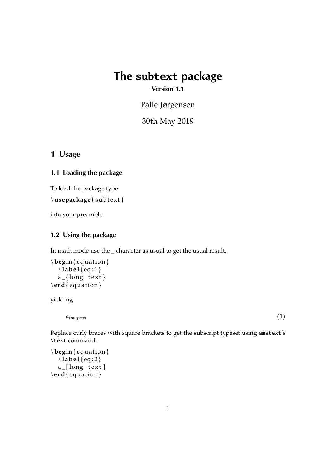# **The subtext package**

**Version 1.1**

Palle Jørgensen

30th May 2019

## **1 Usage**

## **1.1 Loading the package**

To load the package type

\usepackage{subtext}

into your preamble.

## **1.2 Using the package**

In math mode use the \_ character as usual to get the usual result.

```
\begin{ equ a tion }
  \ l ab e l { eq : 1 }
  a_{-}{ long text }
\end{ equ a tion }
```
yielding

 $a_{longtext}$  (1)

Replace curly braces with square brackets to get the subscript typeset using amstext's \text command.

```
\begin{ equ a tion }
  \ l ab e l { eq : 2 }
  a [long text]
\end{ equ a tion }
```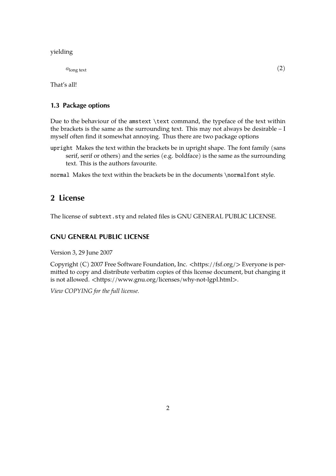#### yielding

 $a_{\text{long text}}$  (2)

That's all!

## **1.3 Package options**

Due to the behaviour of the amstext \text command, the typeface of the text within the brackets is the same as the surrounding text. This may not always be desirable – I myself often find it somewhat annoying. Thus there are two package options

upright Makes the text within the brackets be in upright shape. The font family (sans serif, serif or others) and the series (e.g. boldface) is the same as the surrounding text. This is the authors favourite.

normal Makes the text within the brackets be in the documents \normalfont style.

# **2 License**

The license of subtext.sty and related files is GNU GENERAL PUBLIC LICENSE.

#### **GNU GENERAL PUBLIC LICENSE**

Version 3, 29 June 2007

Copyright (C) 2007 Free Software Foundation, Inc. <https://fsf.org/> Everyone is permitted to copy and distribute verbatim copies of this license document, but changing it is not allowed. <https://www.gnu.org/licenses/why-not-lgpl.html>.

*View COPYING for the full license.*